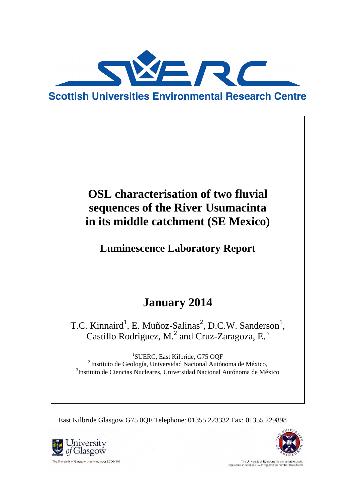

# **OSL characterisation of two fluvial sequences of the River Usumacinta in its middle catchment (SE Mexico)**

**Luminescence Laboratory Report**

# **January 2014**

T.C. Kinnaird<sup>1</sup>, E. Muñoz-Salinas<sup>2</sup>, D.C.W. Sanderson<sup>1</sup>, Castillo Rodriguez, M.<sup>2</sup> and Cruz-Zaragoza, E.<sup>3</sup>

1 SUERC, East Kilbride, G75 OQF <sup>2</sup>Instituto de Geología, Universidad Nacional Autónoma de México, 3 Instituto de Ciencias Nucleares, Universidad Nacional Autónoma de México

East Kilbride Glasgow G75 0QF Telephone: 01355 223332 Fax: 01355 229898





The University of Edinburgh is a c<br>registered in Scotland, with registration num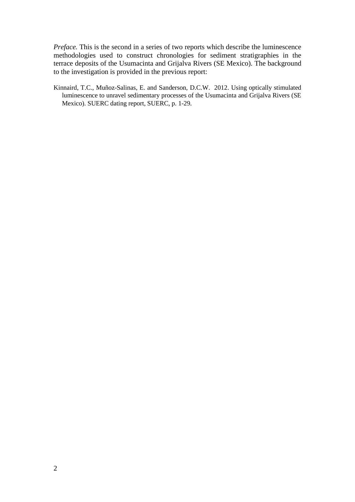*Preface.* This is the second in a series of two reports which describe the luminescence methodologies used to construct chronologies for sediment stratigraphies in the terrace deposits of the Usumacinta and Grijalva Rivers (SE Mexico). The background to the investigation is provided in the previous report:

Kinnaird, T.C., Muñoz-Salinas, E. and Sanderson, D.C.W. 2012. Using optically stimulated luminescence to unravel sedimentary processes of the Usumacinta and Grijalva Rivers (SE Mexico). SUERC dating report, SUERC, p. 1-29*.*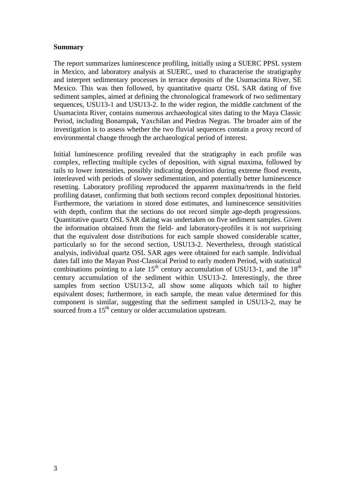#### **Summary**

The report summarizes luminescence profiling, initially using a SUERC PPSL system in Mexico, and laboratory analysis at SUERC, used to characterise the stratigraphy and interpret sedimentary processes in terrace deposits of the Usumacinta River, SE Mexico. This was then followed, by quantitative quartz OSL SAR dating of five sediment samples, aimed at defining the chronological framework of two sedimentary sequences, USU13-1 and USU13-2. In the wider region, the middle catchment of the Usumacinta River, contains numerous archaeological sites dating to the Maya Classic Period, including Bonampak, Yaxchilan and Piedras Negras. The broader aim of the investigation is to assess whether the two fluvial sequences contain a proxy record of environmental change through the archaeological period of interest.

Initial luminescence profiling revealed that the stratigraphy in each profile was complex, reflecting multiple cycles of deposition, with signal maxima, followed by tails to lower intensities, possibly indicating deposition during extreme flood events, interleaved with periods of slower sedimentation, and potentially better luminescence resetting. Laboratory profiling reproduced the apparent maxima/trends in the field profiling dataset, confirming that both sections record complex depositional histories. Furthermore, the variations in stored dose estimates, and luminescence sensitivities with depth, confirm that the sections do not record simple age-depth progressions. Quantitative quartz OSL SAR dating was undertaken on five sediment samples. Given the information obtained from the field- and laboratory-profiles it is not surprising that the equivalent dose distributions for each sample showed considerable scatter, particularly so for the second section, USU13-2. Nevertheless, through statistical analysis, individual quartz OSL SAR ages were obtained for each sample. Individual dates fall into the Mayan Post-Classical Period to early modern Period, with statistical combinations pointing to a late  $15<sup>th</sup>$  century accumulation of USU13-1, and the  $18<sup>th</sup>$ century accumulation of the sediment within USU13-2. Interestingly, the three samples from section USU13-2, all show some aliquots which tail to higher equivalent doses; furthermore, in each sample, the mean value determined for this component is similar, suggesting that the sediment sampled in USU13-2, may be sourced from a  $15<sup>th</sup>$  century or older accumulation upstream.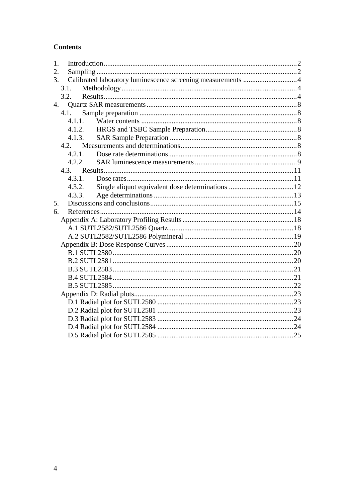## **Contents**

| 1. |        |  |
|----|--------|--|
| 2. |        |  |
| 3. |        |  |
|    | 3.1.   |  |
|    | 3.2.   |  |
| 4. |        |  |
|    | 4.1.   |  |
|    | 4.1.1. |  |
|    | 4.1.2. |  |
|    | 4.1.3. |  |
|    |        |  |
|    | 4.2.1. |  |
|    | 4.2.2. |  |
|    |        |  |
|    | 4.3.1. |  |
|    | 4.3.2. |  |
|    | 4.3.3. |  |
| 5. |        |  |
| 6. |        |  |
|    |        |  |
|    |        |  |
|    |        |  |
|    |        |  |
|    |        |  |
|    |        |  |
|    |        |  |
|    |        |  |
|    |        |  |
|    |        |  |
|    |        |  |
|    |        |  |
|    |        |  |
|    |        |  |
|    |        |  |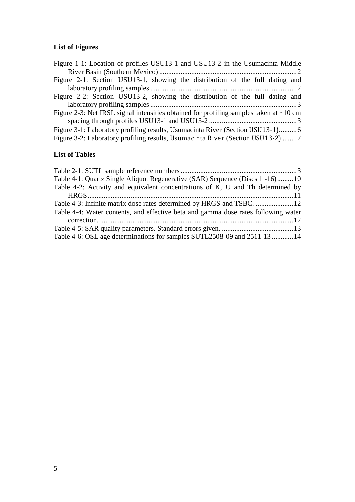## **List of Figures**

## **List of Tables**

| Table 4-1: Quartz Single Aliquot Regenerative (SAR) Sequence (Discs 1 -16)10       |  |
|------------------------------------------------------------------------------------|--|
|                                                                                    |  |
| Table 4-2: Activity and equivalent concentrations of K, U and Th determined by     |  |
|                                                                                    |  |
|                                                                                    |  |
| Table 4-4: Water contents, and effective beta and gamma dose rates following water |  |
|                                                                                    |  |
|                                                                                    |  |
| Table 4-6: OSL age determinations for samples SUTL2508-09 and 2511-13  14          |  |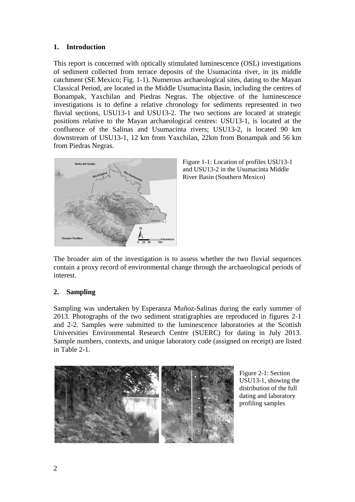### <span id="page-5-0"></span>**1. Introduction**

This report is concerned with optically stimulated luminescence (OSL) investigations of sediment collected from terrace deposits of the Usumacinta river, in its middle catchment (SE Mexico; Fig. 1-1). Numerous archaeological sites, dating to the Mayan Classical Period, are located in the Middle Usumacinta Basin, including the centres of Bonampak, Yaxchilan and Piedras Negras. The objective of the luminescence investigations is to define a relative chronology for sediments represented in two fluvial sections, USU13-1 and USU13-2. The two sections are located at strategic positions relative to the Mayan archaeological centres: USU13-1, is located at the confluence of the Salinas and Usumacinta rivers; USU13-2, is located 90 km downstream of USU13-1, 12 km from Yaxchilan, 22km from Bonampak and 56 km from Piedras Negras.



<span id="page-5-2"></span>

The broader aim of the investigation is to assess whether the two fluvial sequences contain a proxy record of environmental change through the archaeological periods of interest.

### <span id="page-5-1"></span>**2. Sampling**

Sampling was undertaken by Esperanza Muñoz-Salinas during the early summer of 2013. Photographs of the two sediment stratigraphies are reproduced in figures 2-1 and 2-2. Samples were submitted to the luminescence laboratories at the Scottish Universities Environmental Research Centre (SUERC) for dating in July 2013. Sample numbers, contexts, and unique laboratory code (assigned on receipt) are listed in Table 2-1.



<span id="page-5-3"></span>Figure 2-1: Section USU13-1, showing the distribution of the full dating and laboratory profiling samples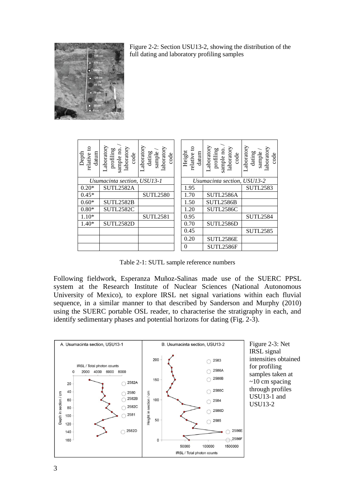

<span id="page-6-0"></span>

| ខ<br>datum<br>Depth<br>relative | Laboratory<br>laboratory<br>sample no.<br>profiling<br>code | aboratory.<br>laboratory<br>sample.<br>dating<br>code | ខ<br>Height<br>datum<br>relative | aboratory<br>laboratory<br>sample no.<br>profiling<br>code | aboratory<br>laboratory<br>sample,<br>dating<br>code |  |  |
|---------------------------------|-------------------------------------------------------------|-------------------------------------------------------|----------------------------------|------------------------------------------------------------|------------------------------------------------------|--|--|
|                                 | Usumacinta section, USU13-1                                 |                                                       | Usumacinta section, USU13-2      |                                                            |                                                      |  |  |
| $0.20*$                         | SUTL2582A                                                   |                                                       | 1.95                             |                                                            | <b>SUTL2583</b>                                      |  |  |
| $0.45*$                         |                                                             | <b>SUTL2580</b>                                       | 1.70                             | SUTL2586A                                                  |                                                      |  |  |
| $0.60*$                         | SUTL2582B                                                   |                                                       | 1.50                             | SUTL2586B                                                  |                                                      |  |  |
| $0.80*$                         | SUTL2582C                                                   |                                                       | 1.20                             | SUTL2586C                                                  |                                                      |  |  |
| $1.10*$                         |                                                             | <b>SUTL2581</b>                                       | 0.95                             |                                                            | <b>SUTL2584</b>                                      |  |  |
| $1.40*$                         | SUTL2582D                                                   |                                                       | 0.70                             | SUTL2586D                                                  |                                                      |  |  |
|                                 |                                                             |                                                       | 0.45                             |                                                            | <b>SUTL2585</b>                                      |  |  |
|                                 |                                                             |                                                       | 0.20                             | SUTL2586E                                                  |                                                      |  |  |
|                                 |                                                             |                                                       | 0                                | SUTL2586F                                                  |                                                      |  |  |

Table 2-1: SUTL sample reference numbers

<span id="page-6-2"></span>Following fieldwork, Esperanza Muñoz-Salinas made use of the SUERC PPSL system at the Research Institute of Nuclear Sciences (National Autonomous University of Mexico), to explore IRSL net signal variations within each fluvial sequence, in a similar manner to that described by Sanderson and Murphy (2010) using the SUERC portable OSL reader, to characterise the stratigraphy in each, and identify sedimentary phases and potential horizons for dating (Fig. 2-3).



<span id="page-6-1"></span>Figure 2-3: Net IRSL signal intensities obtained for profiling samples taken at  $\sim$ 10 cm spacing through profiles USU13-1 and USU13-2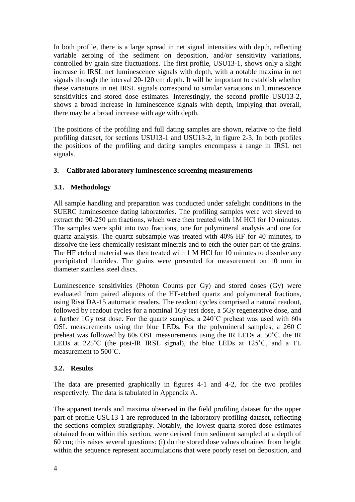In both profile, there is a large spread in net signal intensities with depth, reflecting variable zeroing of the sediment on deposition, and/or sensitivity variations, controlled by grain size fluctuations. The first profile, USU13-1, shows only a slight increase in IRSL net luminescence signals with depth, with a notable maxima in net signals through the interval 20-120 cm depth. It will be important to establish whether these variations in net IRSL signals correspond to similar variations in luminescence sensitivities and stored dose estimates. Interestingly, the second profile USU13-2, shows a broad increase in luminescence signals with depth, implying that overall, there may be a broad increase with age with depth.

The positions of the profiling and full dating samples are shown, relative to the field profiling dataset, for sections USU13-1 and USU13-2, in figure 2-3. In both profiles the positions of the profiling and dating samples encompass a range in IRSL net signals.

### <span id="page-7-0"></span>**3. Calibrated laboratory luminescence screening measurements**

#### <span id="page-7-1"></span>**3.1. Methodology**

All sample handling and preparation was conducted under safelight conditions in the SUERC luminescence dating laboratories. The profiling samples were wet sieved to extract the 90-250 μm fractions, which were then treated with 1M HCl for 10 minutes. The samples were split into two fractions, one for polymineral analysis and one for quartz analysis. The quartz subsample was treated with 40% HF for 40 minutes, to dissolve the less chemically resistant minerals and to etch the outer part of the grains. The HF etched material was then treated with 1 M HCl for 10 minutes to dissolve any precipitated fluorides. The grains were presented for measurement on 10 mm in diameter stainless steel discs.

Luminescence sensitivities (Photon Counts per Gy) and stored doses (Gy) were evaluated from paired aliquots of the HF-etched quartz and polymineral fractions, using Risø DA-15 automatic readers. The readout cycles comprised a natural readout, followed by readout cycles for a nominal 1Gy test dose, a 5Gy regenerative dose, and a further 1Gy test dose. For the quartz samples, a 240˚C preheat was used with 60s OSL measurements using the blue LEDs. For the polymineral samples, a 260˚C preheat was followed by 60s OSL measurements using the IR LEDs at 50˚C, the IR LEDs at 225˚C (the post-IR IRSL signal), the blue LEDs at 125˚C, and a TL measurement to 500˚C.

#### <span id="page-7-2"></span>**3.2. Results**

The data are presented graphically in figures 4-1 and 4-2, for the two profiles respectively. The data is tabulated in Appendix A.

The apparent trends and maxima observed in the field profiling dataset for the upper part of profile USU13-1 are reproduced in the laboratory profiling dataset, reflecting the sections complex stratigraphy. Notably, the lowest quartz stored dose estimates obtained from within this section, were derived from sediment sampled at a depth of 60 cm; this raises several questions: (i) do the stored dose values obtained from height within the sequence represent accumulations that were poorly reset on deposition, and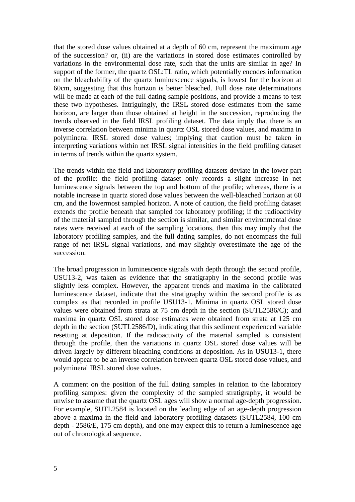that the stored dose values obtained at a depth of 60 cm, represent the maximum age of the succession? or, (ii) are the variations in stored dose estimates controlled by variations in the environmental dose rate, such that the units are similar in age? In support of the former, the quartz OSL:TL ratio, which potentially encodes information on the bleachability of the quartz luminescence signals, is lowest for the horizon at 60cm, suggesting that this horizon is better bleached. Full dose rate determinations will be made at each of the full dating sample positions, and provide a means to test these two hypotheses. Intriguingly, the IRSL stored dose estimates from the same horizon, are larger than those obtained at height in the succession, reproducing the trends observed in the field IRSL profiling dataset. The data imply that there is an inverse correlation between minima in quartz OSL stored dose values, and maxima in polymineral IRSL stored dose values; implying that caution must be taken in interpreting variations within net IRSL signal intensities in the field profiling dataset in terms of trends within the quartz system.

The trends within the field and laboratory profiling datasets deviate in the lower part of the profile: the field profiling dataset only records a slight increase in net luminescence signals between the top and bottom of the profile; whereas, there is a notable increase in quartz stored dose values between the well-bleached horizon at 60 cm, and the lowermost sampled horizon. A note of caution, the field profiling dataset extends the profile beneath that sampled for laboratory profiling; if the radioactivity of the material sampled through the section is similar, and similar environmental dose rates were received at each of the sampling locations, then this may imply that the laboratory profiling samples, and the full dating samples, do not encompass the full range of net IRSL signal variations, and may slightly overestimate the age of the succession.

The broad progression in luminescence signals with depth through the second profile, USU13-2, was taken as evidence that the stratigraphy in the second profile was slightly less complex. However, the apparent trends and maxima in the calibrated luminescence dataset, indicate that the stratigraphy within the second profile is as complex as that recorded in profile USU13-1. Minima in quartz OSL stored dose values were obtained from strata at 75 cm depth in the section (SUTL2586/C); and maxima in quartz OSL stored dose estimates were obtained from strata at 125 cm depth in the section (SUTL2586/D), indicating that this sediment experienced variable resetting at deposition. If the radioactivity of the material sampled is consistent through the profile, then the variations in quartz OSL stored dose values will be driven largely by different bleaching conditions at deposition. As in USU13-1, there would appear to be an inverse correlation between quartz OSL stored dose values, and polymineral IRSL stored dose values.

A comment on the position of the full dating samples in relation to the laboratory profiling samples: given the complexity of the sampled stratigraphy, it would be unwise to assume that the quartz OSL ages will show a normal age-depth progression. For example, SUTL2584 is located on the leading edge of an age-depth progression above a maxima in the field and laboratory profiling datasets (SUTL2584, 100 cm depth - 2586/E, 175 cm depth), and one may expect this to return a luminescence age out of chronological sequence.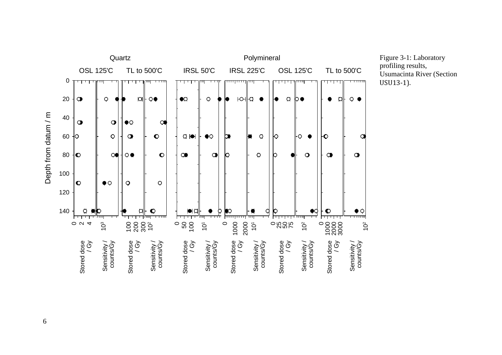

<span id="page-9-0"></span>Figure 3-1: Laboratory profiling results, Usumacinta River (Section USU13-1).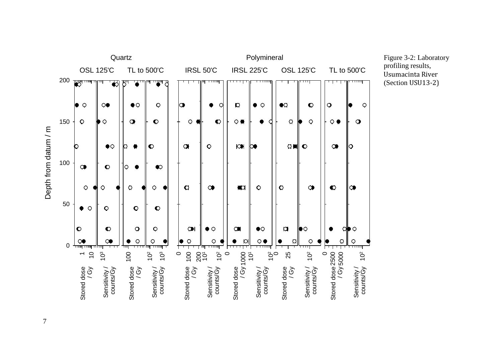

<span id="page-10-0"></span>Figure 3-2: Laboratory profiling results, Usumacinta River (Section USU13-2)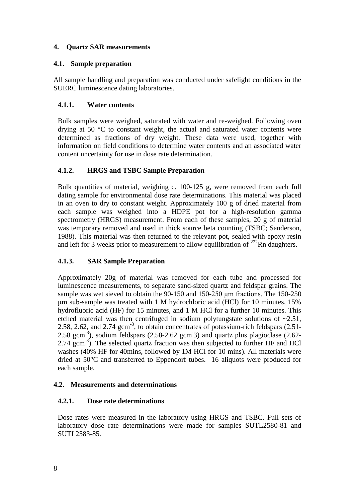### <span id="page-11-0"></span>**4. Quartz SAR measurements**

## <span id="page-11-1"></span>**4.1. Sample preparation**

All sample handling and preparation was conducted under safelight conditions in the SUERC luminescence dating laboratories.

## <span id="page-11-2"></span>**4.1.1. Water contents**

Bulk samples were weighed, saturated with water and re-weighed. Following oven drying at 50 °C to constant weight, the actual and saturated water contents were determined as fractions of dry weight. These data were used, together with information on field conditions to determine water contents and an associated water content uncertainty for use in dose rate determination.

## <span id="page-11-3"></span>**4.1.2. HRGS and TSBC Sample Preparation**

Bulk quantities of material, weighing c. 100-125 g, were removed from each full dating sample for environmental dose rate determinations. This material was placed in an oven to dry to constant weight. Approximately 100 g of dried material from each sample was weighed into a HDPE pot for a high-resolution gamma spectrometry (HRGS) measurement. From each of these samples, 20 g of material was temporary removed and used in thick source beta counting (TSBC; Sanderson, 1988). This material was then returned to the relevant pot, sealed with epoxy resin and left for 3 weeks prior to measurement to allow equilibration of  $^{222}$ Rn daughters.

## <span id="page-11-4"></span>**4.1.3. SAR Sample Preparation**

Approximately 20g of material was removed for each tube and processed for luminescence measurements, to separate sand-sized quartz and feldspar grains. The sample was wet sieved to obtain the 90-150 and 150-250 μm fractions. The 150-250 μm sub-sample was treated with 1 M hydrochloric acid (HCl) for 10 minutes, 15% hydrofluoric acid (HF) for 15 minutes, and 1 M HCl for a further 10 minutes. This etched material was then centrifuged in sodium polytungstate solutions of  $\sim 2.51$ , 2.58, 2.62, and 2.74  $\text{gcm}^{-3}$ , to obtain concentrates of potassium-rich feldspars (2.51- $2.58$  gcm<sup>-3</sup>), sodium feldspars (2.58-2.62 gcm<sup>-3</sup>) and quartz plus plagioclase (2.62-2.74 gcm<sup>-3</sup>). The selected quartz fraction was then subjected to further HF and HCl washes (40% HF for 40mins, followed by 1M HCl for 10 mins). All materials were dried at 50°C and transferred to Eppendorf tubes. 16 aliquots were produced for each sample.

## <span id="page-11-5"></span>**4.2. Measurements and determinations**

## <span id="page-11-6"></span>**4.2.1. Dose rate determinations**

Dose rates were measured in the laboratory using HRGS and TSBC. Full sets of laboratory dose rate determinations were made for samples SUTL2580-81 and SUTL2583-85.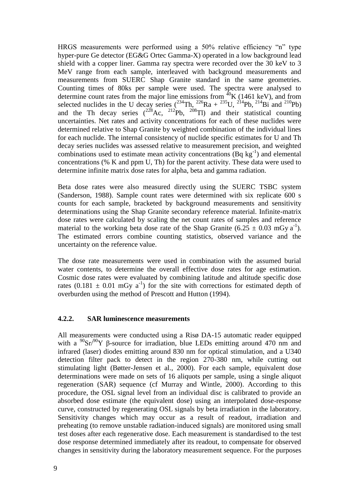HRGS measurements were performed using a 50% relative efficiency "n" type hyper-pure Ge detector (EG&G Ortec Gamma-X) operated in a low background lead shield with a copper liner. Gamma ray spectra were recorded over the 30 keV to 3 MeV range from each sample, interleaved with background measurements and measurements from SUERC Shap Granite standard in the same geometries. Counting times of 80ks per sample were used. The spectra were analysed to determine count rates from the major line emissions from  ${}^{40}$ K (1461 keV), and from selected nuclides in the U decay series  $(234 \text{Th}, 226 \text{Ra} + 235 \text{U}, 214 \text{Pb}, 214 \text{Bi}$  and  $(210 \text{Pb})$ and the Th decay series  $(^{228}Ac, ^{212}Pb, ^{208}Tl)$  and their statistical counting uncertainties. Net rates and activity concentrations for each of these nuclides were determined relative to Shap Granite by weighted combination of the individual lines for each nuclide. The internal consistency of nuclide specific estimates for U and Th decay series nuclides was assessed relative to measurement precision, and weighted combinations used to estimate mean activity concentrations  $(Bq kg^{-1})$  and elemental concentrations (% K and ppm U, Th) for the parent activity. These data were used to determine infinite matrix dose rates for alpha, beta and gamma radiation.

Beta dose rates were also measured directly using the SUERC TSBC system (Sanderson, 1988). Sample count rates were determined with six replicate 600 s counts for each sample, bracketed by background measurements and sensitivity determinations using the Shap Granite secondary reference material. Infinite-matrix dose rates were calculated by scaling the net count rates of samples and reference material to the working beta dose rate of the Shap Granite (6.25  $\pm$  0.03 mGy a<sup>-1</sup>). The estimated errors combine counting statistics, observed variance and the uncertainty on the reference value.

The dose rate measurements were used in combination with the assumed burial water contents, to determine the overall effective dose rates for age estimation. Cosmic dose rates were evaluated by combining latitude and altitude specific dose rates  $(0.181 \pm 0.01 \text{ mGy a}^{-1})$  for the site with corrections for estimated depth of overburden using the method of Prescott and Hutton (1994).

#### <span id="page-12-0"></span>**4.2.2. SAR luminescence measurements**

All measurements were conducted using a Risø DA-15 automatic reader equipped with a  $\frac{90}{5}$ sr/ $\frac{90}{1}$  β-source for irradiation, blue LEDs emitting around 470 nm and infrared (laser) diodes emitting around 830 nm for optical stimulation, and a U340 detection filter pack to detect in the region 270-380 nm, while cutting out stimulating light (Bøtter-Jensen et al., 2000). For each sample, equivalent dose determinations were made on sets of 16 aliquots per sample, using a single aliquot regeneration (SAR) sequence (cf Murray and Wintle, 2000). According to this procedure, the OSL signal level from an individual disc is calibrated to provide an absorbed dose estimate (the equivalent dose) using an interpolated dose-response curve, constructed by regenerating OSL signals by beta irradiation in the laboratory. Sensitivity changes which may occur as a result of readout, irradiation and preheating (to remove unstable radiation-induced signals) are monitored using small test doses after each regenerative dose. Each measurement is standardised to the test dose response determined immediately after its readout, to compensate for observed changes in sensitivity during the laboratory measurement sequence. For the purposes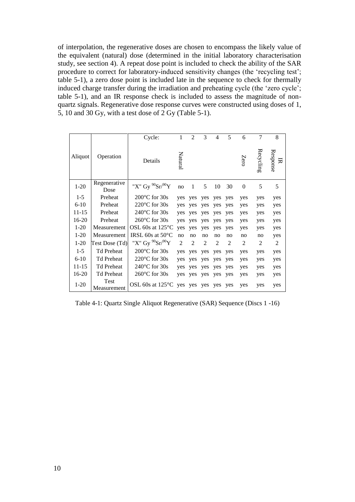of interpolation, the regenerative doses are chosen to encompass the likely value of the equivalent (natural) dose (determined in the initial laboratory characterisation study, see section 4). A repeat dose point is included to check the ability of the SAR procedure to correct for laboratory-induced sensitivity changes (the 'recycling test'; table 5-1), a zero dose point is included late in the sequence to check for thermally induced charge transfer during the irradiation and preheating cycle (the 'zero cycle'; table 5-1), and an IR response check is included to assess the magnitude of nonquartz signals. Regenerative dose response curves were constructed using doses of 1, 5, 10 and 30 Gy, with a test dose of 2 Gy (Table 5-1).

|           |                      | Cycle:                     | $\mathbf{1}$   | $\overline{2}$ | 3              | 4              | 5              | 6              | $\overline{7}$ | 8             |
|-----------|----------------------|----------------------------|----------------|----------------|----------------|----------------|----------------|----------------|----------------|---------------|
| Aliquot   | Operation            | Details                    | Natura         |                |                |                |                | Zero           | Recycling      | Response<br>叧 |
| $1-20$    | Regenerative<br>Dose | "X" Gy $^{90}Sr/^{90}Y$    | no             | 1              | 5              | 10             | 30             | $\overline{0}$ | 5              | 5             |
| $1 - 5$   | Preheat              | $200^{\circ}$ C for $30s$  | yes            | yes            | yes            | yes            | yes            | yes            | yes            | yes           |
| $6-10$    | Preheat              | $220^{\circ}$ C for 30s    | yes            | yes            | yes            | yes            | yes            | yes            | yes            | yes           |
| 11-15     | Preheat              | $240^{\circ}$ C for $30s$  | yes            | yes            | yes            | yes            | yes            | yes            | yes            | yes           |
| 16-20     | Preheat              | $260^{\circ}$ C for $30s$  | yes            | ves            | yes            | yes            | yes            | yes            | yes            | yes           |
| $1-20$    | Measurement          | OSL 60s at $125^{\circ}$ C | yes            | yes            | yes            | yes            | yes            | yes            | yes            | yes           |
| $1-20$    | Measurement          | IRSL 60s at $50^{\circ}$ C | no             | n <sub>O</sub> | n <sub>O</sub> | no             | no             | no             | no             | yes           |
| $1-20$    | Test Dose (Td)       | "X" Gy $^{90}Sr/^{90}Y$    | $\overline{2}$ | $\mathfrak{D}$ | $\overline{c}$ | $\mathfrak{D}$ | $\overline{c}$ | $\overline{2}$ | $\overline{2}$ | 2             |
| $1 - 5$   | <b>Td Preheat</b>    | $200^{\circ}$ C for $30s$  | yes            | yes            | yes            | yes            | yes            | yes            | yes            | yes           |
| $6-10$    | <b>Td Preheat</b>    | $220^{\circ}$ C for 30s    | yes            | yes            | yes            | yes            | yes            | yes            | yes            | yes           |
| $11 - 15$ | <b>Td Preheat</b>    | $240^{\circ}$ C for 30s    | yes            | yes            | yes            | yes            | yes            | yes            | yes            | yes           |
| 16-20     | <b>Td Preheat</b>    | $260^{\circ}$ C for $30s$  | yes            | yes            | yes            | yes            | yes            | yes            | yes            | yes           |
| $1-20$    | Test<br>Measurement  | OSL 60s at $125^{\circ}$ C | yes            | yes            | yes            | yes            | yes            | yes            | yes            | yes           |

<span id="page-13-0"></span>Table 4-1: Quartz Single Aliquot Regenerative (SAR) Sequence (Discs 1 -16)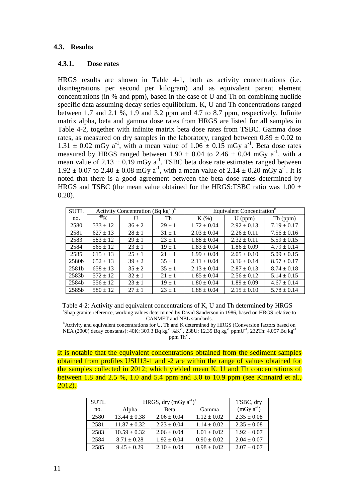#### <span id="page-14-0"></span>**4.3. Results**

#### <span id="page-14-1"></span>**4.3.1. Dose rates**

HRGS results are shown in Table 4-1, both as activity concentrations (i.e. disintegrations per second per kilogram) and as equivalent parent element concentrations (in % and ppm), based in the case of U and Th on combining nuclide specific data assuming decay series equilibrium. K, U and Th concentrations ranged between 1.7 and 2.1 %, 1.9 and 3.2 ppm and 4.7 to 8.7 ppm, respectively. Infinite matrix alpha, beta and gamma dose rates from HRGS are listed for all samples in Table 4-2, together with infinite matrix beta dose rates from TSBC. Gamma dose rates, as measured on dry samples in the laboratory, ranged between  $0.89 \pm 0.02$  to  $1.31 \pm 0.02$  mGy a<sup>-1</sup>, with a mean value of  $1.06 \pm 0.15$  mGy a<sup>-1</sup>. Beta dose rates measured by HRGS ranged between 1.90  $\pm$  0.04 to 2.46  $\pm$  0.04 mGy a<sup>-1</sup>, with a mean value of  $2.13 \pm 0.19$  mGy a<sup>-1</sup>. TSBC beta dose rate estimates ranged between  $1.92 \pm 0.07$  to  $2.40 \pm 0.08$  mGy a<sup>-1</sup>, with a mean value of  $2.14 \pm 0.20$  mGy a<sup>-1</sup>. It is noted that there is a good agreement between the beta dose rates determined by HRGS and TSBC (the mean value obtained for the HRGS:TSBC ratio was  $1.00 \pm 1.00 \pm 1.00 \pm 1.00 \pm 1.00 \pm 1.00 \pm 1.00 \pm 1.00 \pm 1.00 \pm 1.00 \pm 1.00 \pm 1.00 \pm 1.00 \pm 1.00 \pm 1.00 \pm 1.00 \pm 1.00 \pm 1.00 \pm 1.00 \pm 1.00 \pm 1.00 \pm 1.00 \pm$ 0.20).

| Activity Concentration $(Bq kg^{-1})^a$<br><b>SUTL</b> |              |            |            |                 | Equivalent Concentration <sup>b</sup> |                 |
|--------------------------------------------------------|--------------|------------|------------|-----------------|---------------------------------------|-----------------|
| no.                                                    | $^{40}$ K    | U          | Th         | $K(\%)$         | $U$ (ppm)                             | Th (ppm)        |
| 2580                                                   | $533 \pm 12$ | $36 \pm 2$ | $29 \pm 1$ | $1.72 \pm 0.04$ | $2.92 \pm 0.13$                       | $7.19 \pm 0.17$ |
| 2581                                                   | $627 \pm 13$ | $28 \pm 1$ | $31 \pm 1$ | $2.03 \pm 0.04$ | $2.26 \pm 0.11$                       | $7.56 \pm 0.16$ |
| 2583                                                   | $583 \pm 12$ | $29 \pm 1$ | $23 \pm 1$ | $1.88 \pm 0.04$ | $2.32 \pm 0.11$                       | $5.59 \pm 0.15$ |
| 2584                                                   | $565 \pm 12$ | $23 \pm 1$ | $19 \pm 1$ | $1.83 \pm 0.04$ | $1.86 \pm 0.09$                       | $4.79 \pm 0.14$ |
| 2585                                                   | $615 \pm 13$ | $25 + 1$   | $21 \pm 1$ | $1.99 \pm 0.04$ | $2.05 \pm 0.10$                       | $5.09 \pm 0.15$ |
| 2580b                                                  | $652 \pm 13$ | $39 \pm 2$ | $35 \pm 1$ | $2.11 \pm 0.04$ | $3.16 \pm 0.14$                       | $8.57 \pm 0.17$ |
| 2581b                                                  | $658 \pm 13$ | $35 \pm 2$ | $35 \pm 1$ | $2.13 \pm 0.04$ | $2.87 \pm 0.13$                       | $8.74 \pm 0.18$ |
| 2583b                                                  | $572 \pm 12$ | $32 \pm 1$ | $21 \pm 1$ | $1.85 \pm 0.04$ | $2.56 \pm 0.12$                       | $5.14 \pm 0.15$ |
| 2584b                                                  | $556 \pm 12$ | $23 \pm 1$ | $19 \pm 1$ | $1.80 \pm 0.04$ | $1.89 \pm 0.09$                       | $4.67 \pm 0.14$ |
| 2585b                                                  | $580 \pm 12$ | $27 \pm 1$ | $23 \pm 1$ | $1.88 \pm 0.04$ | $2.15 \pm 0.10$                       | $5.78 \pm 0.14$ |

<span id="page-14-2"></span>Table 4-2: Activity and equivalent concentrations of K, U and Th determined by HRGS <sup>a</sup>Shap granite reference, working values determined by David Sanderson in 1986, based on HRGS relative to CANMET and NBL standards.

<sup>b</sup>Activity and equivalent concentrations for U, Th and K determined by HRGS (Conversion factors based on NEA (2000) decay constants): 40K: 309.3 Bq kg<sup>-1</sup> %K<sup>-1</sup>, 238U: 12.35 Bq kg<sup>-1</sup> ppmU<sup>-1</sup>, 232Th: 4.057 Bq kg<sup>-1</sup>  $ppm$  Th<sup>-1</sup>.

It is notable that the equivalent concentrations obtained from the sediment samples obtained from profiles USU13-1 and -2 are within the range of values obtained for the samples collected in 2012; which yielded mean K, U and Th concentrations of between 1.8 and 2.5 %, 1.0 and 5.4 ppm and 3.0 to 10.9 ppm (see Kinnaird et al., 2012).

| <b>SUTL</b> | HRGS, dry $(mGy a^{-1})^a$     | TSBC, dry       |                 |                 |
|-------------|--------------------------------|-----------------|-----------------|-----------------|
| no.         | Alpha<br><b>B</b> eta<br>Gamma |                 |                 | $(mGy a^{-1})$  |
| 2580        | $13.44 \pm 0.38$               | $2.06 \pm 0.04$ | $1.12 \pm 0.02$ | $2.35 \pm 0.08$ |
| 2581        | $11.87 \pm 0.32$               | $2.23 \pm 0.04$ | $1.14 \pm 0.02$ | $2.35 \pm 0.08$ |
| 2583        | $10.59 \pm 0.32$               | $2.06 \pm 0.04$ | $1.01 \pm 0.02$ | $1.92 \pm 0.07$ |
| 2584        | $8.71 \pm 0.28$                | $1.92 \pm 0.04$ | $0.90 \pm 0.02$ | $2.04 \pm 0.07$ |
| 2585        | $9.45 \pm 0.29$                | $2.10 \pm 0.04$ | $0.98 \pm 0.02$ | $2.07 \pm 0.07$ |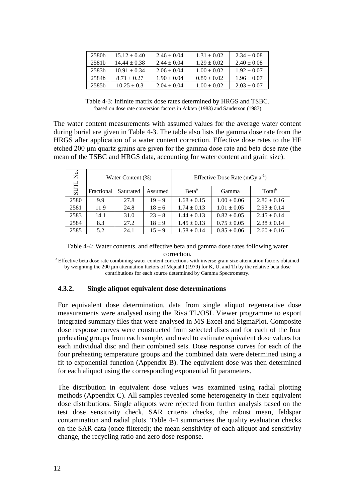| 2580 <sub>b</sub> | $15.12 \pm 0.40$ | $2.46 \pm 0.04$ | $1.31 \pm 0.02$ | $2.34 \pm 0.08$ |
|-------------------|------------------|-----------------|-----------------|-----------------|
| 2581b             | $14.44 \pm 0.38$ | $2.44 \pm 0.04$ | $1.29 \pm 0.02$ | $2.40 \pm 0.08$ |
| 2583h             | $10.91 \pm 0.34$ | $2.06 \pm 0.04$ | $1.00 \pm 0.02$ | $1.92 \pm 0.07$ |
| 2584b             | $8.71 + 0.27$    | $1.90 \pm 0.04$ | $0.89 \pm 0.02$ | $1.96 \pm 0.07$ |
| 2585 <sub>b</sub> | $10.25 \pm 0.3$  | $2.04 \pm 0.04$ | $1.00 + 0.02$   | $2.03 \pm 0.07$ |

Table 4-3: Infinite matrix dose rates determined by HRGS and TSBC. <sup>a</sup>based on dose rate conversion factors in Aikten (1983) and Sanderson (1987)

<span id="page-15-1"></span>The water content measurements with assumed values for the average water content during burial are given in Table 4-3. The table also lists the gamma dose rate from the HRGS after application of a water content correction. Effective dose rates to the HF etched 200 um quartz grains are given for the gamma dose rate and beta dose rate (the mean of the TSBC and HRGS data, accounting for water content and grain size).

| Σó   |            | Water Content (%) |            | Effective Dose Rate $(mGy a^{-1})$ |                 |                    |  |
|------|------------|-------------------|------------|------------------------------------|-----------------|--------------------|--|
| SUTL | Fractional | Saturated         | Assumed    | Beta <sup>a</sup>                  | Gamma           | Total <sup>b</sup> |  |
| 2580 | 9.9        | 27.8              | $19 + 9$   | $1.68 \pm 0.15$                    | $1.00 \pm 0.06$ | $2.86 \pm 0.16$    |  |
| 2581 | 11.9       | 24.8              | $18 \pm 6$ | $1.74 \pm 0.13$                    | $1.01 \pm 0.05$ | $2.93 \pm 0.14$    |  |
| 2583 | 14.1       | 31.0              | $23 \pm 8$ | $1.44 \pm 0.13$                    | $0.82 \pm 0.05$ | $2.45 \pm 0.14$    |  |
| 2584 | 8.3        | 27.2              | $18 + 9$   | $1.45 \pm 0.13$                    | $0.75 \pm 0.05$ | $2.38 \pm 0.14$    |  |
| 2585 | 5.2        | 24.1              | $15 \pm 9$ | $1.58 \pm 0.14$                    | $0.85 \pm 0.06$ | $2.60 \pm 0.16$    |  |

<span id="page-15-2"></span>Table 4-4: Water contents, and effective beta and gamma dose rates following water correction.

<sup>a</sup> Effective beta dose rate combining water content corrections with inverse grain size attenuation factors obtained by weighting the 200 μm attenuation factors of Mejdahl (1979) for K, U, and Th by the relative beta dose contributions for each source determined by Gamma Spectrometry.

#### <span id="page-15-0"></span>**4.3.2. Single aliquot equivalent dose determinations**

For equivalent dose determination, data from single aliquot regenerative dose measurements were analysed using the Risø TL/OSL Viewer programme to export integrated summary files that were analysed in MS Excel and SigmaPlot. Composite dose response curves were constructed from selected discs and for each of the four preheating groups from each sample, and used to estimate equivalent dose values for each individual disc and their combined sets. Dose response curves for each of the four preheating temperature groups and the combined data were determined using a fit to exponential function (Appendix B). The equivalent dose was then determined for each aliquot using the corresponding exponential fit parameters.

The distribution in equivalent dose values was examined using radial plotting methods (Appendix C). All samples revealed some heterogeneity in their equivalent dose distributions. Single aliquots were rejected from further analysis based on the test dose sensitivity check, SAR criteria checks, the robust mean, feldspar contamination and radial plots. Table 4-4 summarises the quality evaluation checks on the SAR data (once filtered); the mean sensitivity of each aliquot and sensitivity change, the recycling ratio and zero dose response.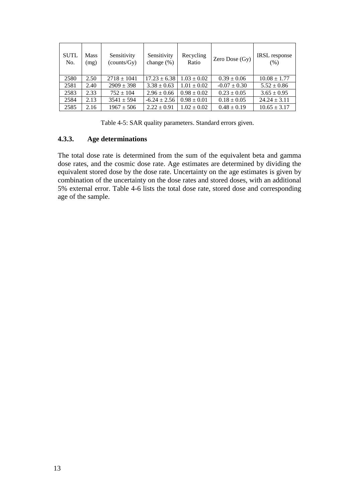| <b>SUTL</b><br>No. | Mass<br>(mg) | Sensitivity<br>(counts/Gy) | Sensitivity<br>change $(\%)$ | Recycling<br>Ratio | Zero Dose (Gy)   | IRSL response<br>(% ) |
|--------------------|--------------|----------------------------|------------------------------|--------------------|------------------|-----------------------|
| 2580               | 2.50         | $2718 \pm 1041$            | $17.23 \pm 6.38$             | $1.03 \pm 0.02$    | $0.39 \pm 0.06$  | $10.08 \pm 1.77$      |
| 2581               | 2.40         | $2909 \pm 398$             | $3.38 \pm 0.63$              | $1.01 \pm 0.02$    | $-0.07 \pm 0.30$ | $5.52 \pm 0.86$       |
| 2583               | 2.33         | $752 \pm 104$              | $2.96 \pm 0.66$              | $0.98 \pm 0.02$    | $0.23 \pm 0.05$  | $3.65 \pm 0.95$       |
| 2584               | 2.13         | $3541 \pm 594$             | $-6.24 \pm 2.56$             | $0.98 \pm 0.01$    | $0.18 \pm 0.05$  | $24.24 \pm 3.11$      |
| 2585               | 2.16         | $1967 \pm 506$             | $2.22 \pm 0.91$              | $1.02 \pm 0.02$    | $0.48 \pm 0.19$  | $10.65 \pm 3.17$      |

Table 4-5: SAR quality parameters. Standard errors given.

#### <span id="page-16-2"></span><span id="page-16-0"></span>**4.3.3. Age determinations**

<span id="page-16-1"></span>The total dose rate is determined from the sum of the equivalent beta and gamma dose rates, and the cosmic dose rate. Age estimates are determined by dividing the equivalent stored dose by the dose rate. Uncertainty on the age estimates is given by combination of the uncertainty on the dose rates and stored doses, with an additional 5% external error. Table 4-6 lists the total dose rate, stored dose and corresponding age of the sample.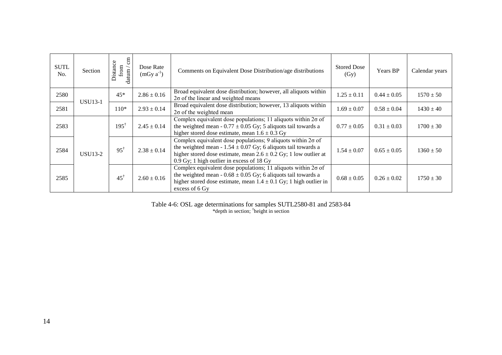| <b>SUTL</b><br>No. | Section        | $\epsilon$ m<br>Distance<br>from $\frac{1}{2}$<br>datum | Dose Rate<br>$(mGy a^{-1})$ | Comments on Equivalent Dose Distribution/age distributions                                                                                                                                                                                                    | <b>Stored Dose</b><br>(Gy) | Years BP        | Calendar years |                 |               |
|--------------------|----------------|---------------------------------------------------------|-----------------------------|---------------------------------------------------------------------------------------------------------------------------------------------------------------------------------------------------------------------------------------------------------------|----------------------------|-----------------|----------------|-----------------|---------------|
| 2580               | <b>USU13-1</b> | $45*$                                                   | $2.86 \pm 0.16$             | Broad equivalent dose distribution; however, all aliquots within<br>$2\sigma$ of the linear and weighted means                                                                                                                                                | $1.25 \pm 0.11$            | $0.44 \pm 0.05$ | $1570 \pm 50$  |                 |               |
| 2581               |                | $2.93 \pm 0.14$<br>$110*$                               |                             | Broad equivalent dose distribution; however, 13 aliquots within<br>$2\sigma$ of the weighted mean                                                                                                                                                             |                            |                 |                | $0.58 \pm 0.04$ | $1430 \pm 40$ |
| 2583               |                | $195^{\dagger}$                                         | $2.45 \pm 0.14$             | Complex equivalent dose populations; 11 aliquots within $2\sigma$ of<br>the weighted mean - $0.77 \pm 0.05$ Gy; 5 aliquots tail towards a<br>higher stored dose estimate, mean $1.6 \pm 0.3$ Gy                                                               | $0.77 \pm 0.05$            | $0.31 \pm 0.03$ | $1700 \pm 30$  |                 |               |
| 2584               | <b>USU13-2</b> | $95^{\dagger}$                                          | $2.38 \pm 0.14$             | Complex equivalent dose populations; 9 aliquots within $2\sigma$ of<br>the weighted mean - $1.54 \pm 0.07$ Gy; 6 aliquots tail towards a<br>higher stored dose estimate, mean $2.6 \pm 0.2$ Gy; 1 low outlier at<br>0.9 Gy; 1 high outlier in excess of 18 Gy | $1.54 \pm 0.07$            | $0.65 \pm 0.05$ | $1360 \pm 50$  |                 |               |
| 2585               |                | $45^{\dagger}$                                          | $2.60 \pm 0.16$             | Complex equivalent dose populations; 11 aliquots within $2\sigma$ of<br>the weighted mean - $0.68 \pm 0.05$ Gy; 6 aliquots tail towards a<br>higher stored dose estimate, mean $1.4 \pm 0.1$ Gy; 1 high outlier in<br>excess of 6 Gy                          | $0.68 \pm 0.05$            | $0.26 \pm 0.02$ | $1750 \pm 30$  |                 |               |

<span id="page-17-0"></span>Table 4-6: OSL age determinations for samples SUTL2580-81 and 2583-84 \*depth in section; † height in section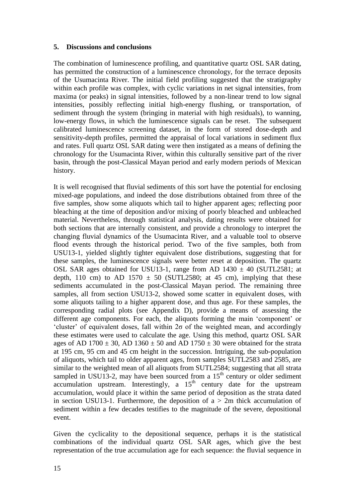#### <span id="page-18-0"></span>**5. Discussions and conclusions**

The combination of luminescence profiling, and quantitative quartz OSL SAR dating, has permitted the construction of a luminescence chronology, for the terrace deposits of the Usumacinta River. The initial field profiling suggested that the stratigraphy within each profile was complex, with cyclic variations in net signal intensities, from maxima (or peaks) in signal intensities, followed by a non-linear trend to low signal intensities, possibly reflecting initial high-energy flushing, or transportation, of sediment through the system (bringing in material with high residuals), to wanning, low-energy flows, in which the luminescence signals can be reset. The subsequent calibrated luminescence screening dataset, in the form of stored dose-depth and sensitivity-depth profiles, permitted the appraisal of local variations in sediment flux and rates. Full quartz OSL SAR dating were then instigated as a means of defining the chronology for the Usumacinta River, within this culturally sensitive part of the river basin, through the post-Classical Mayan period and early modern periods of Mexican history.

It is well recognised that fluvial sediments of this sort have the potential for enclosing mixed-age populations, and indeed the dose distributions obtained from three of the five samples, show some aliquots which tail to higher apparent ages; reflecting poor bleaching at the time of deposition and/or mixing of poorly bleached and unbleached material. Nevertheless, through statistical analysis, dating results were obtained for both sections that are internally consistent, and provide a chronology to interpret the changing fluvial dynamics of the Usumacinta River, and a valuable tool to observe flood events through the historical period. Two of the five samples, both from USU13-1, yielded slightly tighter equivalent dose distributions, suggesting that for these samples, the luminescence signals were better reset at deposition. The quartz OSL SAR ages obtained for USU13-1, range from AD  $1430 \pm 40$  (SUTL2581; at depth, 110 cm) to AD 1570  $\pm$  50 (SUTL2580; at 45 cm), implying that these sediments accumulated in the post-Classical Mayan period. The remaining three samples, all from section USU13-2, showed some scatter in equivalent doses, with some aliquots tailing to a higher apparent dose, and thus age. For these samples, the corresponding radial plots (see Appendix D), provide a means of assessing the different age components. For each, the aliquots forming the main 'component' or 'cluster' of equivalent doses, fall within  $2\sigma$  of the weighted mean, and accordingly these estimates were used to calculate the age. Using this method, quartz OSL SAR ages of AD 1700  $\pm$  30, AD 1360  $\pm$  50 and AD 1750  $\pm$  30 were obtained for the strata at 195 cm, 95 cm and 45 cm height in the succession. Intriguing, the sub-population of aliquots, which tail to older apparent ages, from samples SUTL2583 and 2585, are similar to the weighted mean of all aliquots from SUTL2584; suggesting that all strata sampled in USU13-2, may have been sourced from a  $15<sup>th</sup>$  century or older sediment accumulation upstream. Interestingly, a  $15<sup>th</sup>$  century date for the upstream accumulation, would place it within the same period of deposition as the strata dated in section USU13-1. Furthermore, the deposition of  $a > 2m$  thick accumulation of sediment within a few decades testifies to the magnitude of the severe, depositional event.

Given the cyclicality to the depositional sequence, perhaps it is the statistical combinations of the individual quartz OSL SAR ages, which give the best representation of the true accumulation age for each sequence: the fluvial sequence in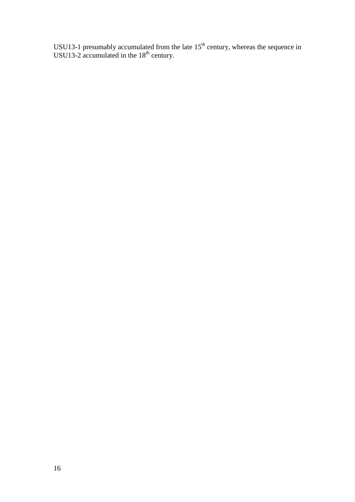USU13-1 presumably accumulated from the late  $15<sup>th</sup>$  century, whereas the sequence in USU13-2 accumulated in the  $18<sup>th</sup>$  century.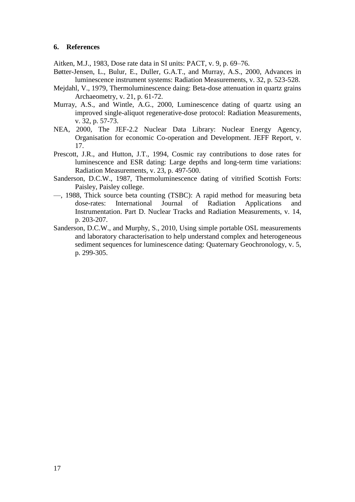#### **6. References**

Aitken, M.J., 1983, Dose rate data in SI units: PACT, v. 9, p. 69–76.

- Bøtter-Jensen, L., Bulur, E., Duller, G.A.T., and Murray, A.S., 2000, Advances in luminescence instrument systems: Radiation Measurements, v. 32, p. 523-528.
- Mejdahl, V., 1979, Thermoluminescence daing: Beta-dose attenuation in quartz grains Archaeometry, v. 21, p. 61-72.
- Murray, A.S., and Wintle, A.G., 2000, Luminescence dating of quartz using an improved single-aliquot regenerative-dose protocol: Radiation Measurements, v. 32, p. 57-73.
- NEA, 2000, The JEF-2.2 Nuclear Data Library: Nuclear Energy Agency, Organisation for economic Co-operation and Development. JEFF Report, v. 17.
- Prescott, J.R., and Hutton, J.T., 1994, Cosmic ray contributions to dose rates for luminescence and ESR dating: Large depths and long-term time variations: Radiation Measurements, v. 23, p. 497-500.
- Sanderson, D.C.W., 1987, Thermoluminescence dating of vitrified Scottish Forts: Paisley, Paisley college.
- —, 1988, Thick source beta counting (TSBC): A rapid method for measuring beta dose-rates: International Journal of Radiation Applications and Instrumentation. Part D. Nuclear Tracks and Radiation Measurements, v. 14, p. 203-207.
- Sanderson, D.C.W., and Murphy, S., 2010, Using simple portable OSL measurements and laboratory characterisation to help understand complex and heterogeneous sediment sequences for luminescence dating: Quaternary Geochronology, v. 5, p. 299-305.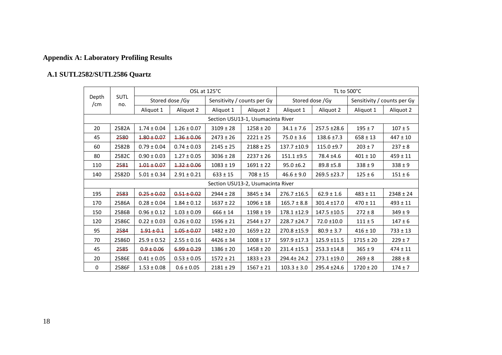## **Appendix A: Laboratory Profiling Results**

## **A.1 SUTL2582/SUTL2586 Quartz**

<span id="page-21-1"></span><span id="page-21-0"></span>

|                 |                                   |                                                                                                                                          |                 | OSL at 125°C  |                                   |                  | TL to 500°C      |                             |               |  |  |  |  |
|-----------------|-----------------------------------|------------------------------------------------------------------------------------------------------------------------------------------|-----------------|---------------|-----------------------------------|------------------|------------------|-----------------------------|---------------|--|--|--|--|
| Depth<br>/ $cm$ | <b>SUTL</b><br>no.                |                                                                                                                                          | Stored dose /Gy |               | Sensitivity / counts per Gy       |                  | Stored dose /Gy  | Sensitivity / counts per Gy |               |  |  |  |  |
|                 |                                   | Aliquot 1                                                                                                                                | Aliquot 2       | Aliquot 1     | Aliquot 2                         | Aliquot 1        | Aliquot 2        | Aliquot 1                   | Aliquot 2     |  |  |  |  |
|                 | Section USU13-1, Usumacinta River |                                                                                                                                          |                 |               |                                   |                  |                  |                             |               |  |  |  |  |
| 20              | 2582A                             | $1.74 \pm 0.04$<br>$1.26 \pm 0.07$<br>$3109 \pm 28$<br>$1258 \pm 20$<br>$34.1 \pm 7.6$<br>$195 \pm 7$<br>$257.5 \pm 28.6$<br>$107 \pm 5$ |                 |               |                                   |                  |                  |                             |               |  |  |  |  |
| 45              | 2580                              | $1.80 \pm 0.07$                                                                                                                          | $1.36 \pm 0.06$ | $2473 \pm 26$ | $2221 \pm 25$                     | $75.0 \pm 3.6$   | $138.6 \pm 7.3$  | $658 \pm 13$                | $447 \pm 10$  |  |  |  |  |
| 60              | 2582B                             | $0.79 \pm 0.04$                                                                                                                          | $0.74 \pm 0.03$ | $2145 \pm 25$ | $2188 \pm 25$                     | 137.7 ±10.9      | $115.0 \pm 9.7$  | $203 \pm 7$                 | $237 \pm 8$   |  |  |  |  |
| 80              | 2582C                             | $0.90 \pm 0.03$                                                                                                                          | $1.27 \pm 0.05$ | $3036 \pm 28$ | $2237 \pm 26$                     | $151.1 \pm 9.5$  | 78.4 ±4.6        | $401 \pm 10$                | $459 \pm 11$  |  |  |  |  |
| 110             | 2581                              | $1.01 \pm 0.07$                                                                                                                          | $1.32 \pm 0.06$ | $1083 \pm 19$ | $1691 \pm 22$                     | $95.0 \pm 6.2$   | $89.8 \pm 5.8$   | $338 \pm 9$                 | $338 \pm 9$   |  |  |  |  |
| 140             | 2582D                             | $5.01 \pm 0.34$                                                                                                                          | $2.91 \pm 0.21$ | $633 \pm 15$  | $708 \pm 15$                      | $46.6 \pm 9.0$   | 269.5 ±23.7      | $125 \pm 6$                 | $151 \pm 6$   |  |  |  |  |
|                 |                                   |                                                                                                                                          |                 |               | Section USU13-2, Usumacinta River |                  |                  |                             |               |  |  |  |  |
| 195             | 2583                              | $0.25 \pm 0.02$                                                                                                                          | $0.51 \pm 0.02$ | $2944 \pm 28$ | $3845 \pm 34$                     | $276.7 \pm 16.5$ | $62.9 \pm 1.6$   | $483 \pm 11$                | $2348 \pm 24$ |  |  |  |  |
| 170             | 2586A                             | $0.28 \pm 0.04$                                                                                                                          | $1.84 \pm 0.12$ | $1637 \pm 22$ | $1096 \pm 18$                     | $165.7 \pm 8.8$  | $301.4 \pm 17.0$ | $470 \pm 11$                | $493 \pm 11$  |  |  |  |  |
| 150             | 2586B                             | $0.96 \pm 0.12$                                                                                                                          | $1.03 \pm 0.09$ | $666 \pm 14$  | $1198 \pm 19$                     | 178.1 ±12.9      | $147.5 \pm 10.5$ | $272 \pm 8$                 | $349 \pm 9$   |  |  |  |  |
| 120             | 2586C                             | $0.22 \pm 0.03$                                                                                                                          | $0.26 \pm 0.02$ | $1596 \pm 21$ | $2544 \pm 27$                     | 228.7 ±24.7      | 72.0 ±10.0       | $111 \pm 5$                 | $147 \pm 6$   |  |  |  |  |
| 95              | 2584                              | $1.91 \pm 0.1$                                                                                                                           | $1.05 \pm 0.07$ | $1482 \pm 20$ | $1659 \pm 22$                     | 270.8 ±15.9      | $80.9 \pm 3.7$   | $416 \pm 10$                | $733 \pm 13$  |  |  |  |  |
| 70              | 2586D                             | $25.9 \pm 0.52$                                                                                                                          | $2.55 \pm 0.16$ | $4426 \pm 34$ | $1008 \pm 17$                     | 597.9 ±17.3      | $125.9 + 11.5$   | $1715 \pm 20$               | $229 \pm 7$   |  |  |  |  |
| 45              | 2585                              | $0.9 \pm 0.06$                                                                                                                           | $6.99 \pm 0.29$ | $1386 \pm 20$ | $1458 \pm 20$                     | 231.4 ±15.3      | $253.3 \pm 14.8$ | $365 \pm 9$                 | $474 \pm 11$  |  |  |  |  |
| 20              | 2586E                             | $0.41 \pm 0.05$                                                                                                                          | $0.53 \pm 0.05$ | $1572 \pm 21$ | $1833 \pm 23$                     | 294.4± 24.2      | $273.1 \pm 19.0$ | $269 \pm 8$                 | $288 \pm 8$   |  |  |  |  |
| 0               | 2586F                             | $1.53 \pm 0.08$                                                                                                                          | $0.6 \pm 0.05$  | $2181 \pm 29$ | $1567 \pm 21$                     | $103.3 \pm 3.0$  | 295.4 ±24.6      | $1720 \pm 20$               | $174 \pm 7$   |  |  |  |  |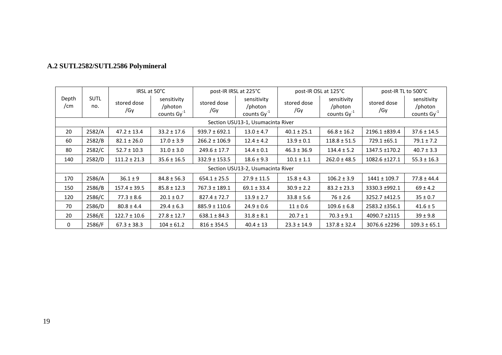<span id="page-22-0"></span>

| Depth<br>/cm                      | <b>SUTL</b><br>no. | IRSL at 50°C       |                                                   | post-IR IRSL at 225°C |                                                   | post-IR OSL at 125°C |                                                   | post-IR TL to 500°C |                                                   |
|-----------------------------------|--------------------|--------------------|---------------------------------------------------|-----------------------|---------------------------------------------------|----------------------|---------------------------------------------------|---------------------|---------------------------------------------------|
|                                   |                    | stored dose<br>/Gy | sensitivity<br>/photon<br>counts $\text{Gy}^{-1}$ | stored dose<br>/Gy    | sensitivity<br>/photon<br>counts $\text{Gy}^{-1}$ | stored dose<br>/Gy   | sensitivity<br>/photon<br>counts $\text{Gy}^{-1}$ | stored dose<br>/Gy  | sensitivity<br>/photon<br>counts Gy <sup>-1</sup> |
| Section USU13-1, Usumacinta River |                    |                    |                                                   |                       |                                                   |                      |                                                   |                     |                                                   |
| 20                                | 2582/A             | $47.2 \pm 13.4$    | $33.2 \pm 17.6$                                   | $939.7 \pm 692.1$     | $13.0 \pm 4.7$                                    | $40.1 \pm 25.1$      | $66.8 \pm 16.2$                                   | 2196.1 ±839.4       | $37.6 \pm 14.5$                                   |
| 60                                | 2582/B             | $82.1 \pm 26.0$    | $17.0 \pm 3.9$                                    | $266.2 \pm 106.9$     | $12.4 \pm 4.2$                                    | $13.9 \pm 0.1$       | $118.8 \pm 51.5$                                  | 729.1 ±65.1         | $79.1 \pm 7.2$                                    |
| 80                                | 2582/C             | $52.7 \pm 10.3$    | $31.0 \pm 3.0$                                    | $249.6 \pm 17.7$      | $14.4 \pm 0.1$                                    | $46.3 \pm 36.9$      | $134.4 \pm 5.2$                                   | 1347.5 ±170.2       | $40.7 \pm 3.3$                                    |
| 140                               | 2582/D             | $111.2 \pm 21.3$   | $35.6 \pm 16.5$                                   | $332.9 \pm 153.5$     | $18.6 \pm 9.3$                                    | $10.1 \pm 1.1$       | $262.0 \pm 48.5$                                  | 1082.6 ±127.1       | $55.3 \pm 16.3$                                   |
| Section USU13-2, Usumacinta River |                    |                    |                                                   |                       |                                                   |                      |                                                   |                     |                                                   |
| 170                               | 2586/A             | $36.1 \pm 9$       | $84.8 \pm 56.3$                                   | $654.1 \pm 25.5$      | $27.9 \pm 11.5$                                   | $15.8 \pm 4.3$       | $106.2 \pm 3.9$                                   | $1441 \pm 109.7$    | $77.8 \pm 44.4$                                   |
| 150                               | 2586/B             | $157.4 \pm 39.5$   | $85.8 \pm 12.3$                                   | $767.3 \pm 189.1$     | $69.1 \pm 33.4$                                   | $30.9 \pm 2.2$       | $83.2 \pm 23.3$                                   | 3330.3 ±992.1       | $69 \pm 4.2$                                      |
| 120                               | 2586/C             | $77.3 \pm 8.6$     | $20.1 \pm 0.7$                                    | $827.4 \pm 72.7$      | $13.9 \pm 2.7$                                    | $33.8 \pm 5.6$       | $76 \pm 2.6$                                      | 3252.7 ±412.5       | $35 \pm 0.7$                                      |
| 70                                | 2586/D             | $80.8 \pm 4.4$     | $29.4 \pm 6.3$                                    | $885.9 \pm 110.6$     | $24.9 \pm 0.6$                                    | $11 \pm 0.6$         | $109.6 \pm 6.8$                                   | 2583.2 ±356.1       | $41.6 \pm 5$                                      |
| 20                                | 2586/E             | $122.7 \pm 10.6$   | $27.8 \pm 12.7$                                   | $638.1 \pm 84.3$      | $31.8 \pm 8.1$                                    | $20.7 \pm 1$         | $70.3 \pm 9.1$                                    | 4090.7 ±2115        | $39 \pm 9.8$                                      |
| $\mathbf{0}$                      | 2586/F             | $67.3 \pm 38.3$    | $104 \pm 61.2$                                    | $816 \pm 354.5$       | $40.4 \pm 13$                                     | $23.3 \pm 14.9$      | $137.8 \pm 32.4$                                  | 3076.6 ±2296        | $109.3 \pm 65.1$                                  |

## **A.2 SUTL2582/SUTL2586 Polymineral**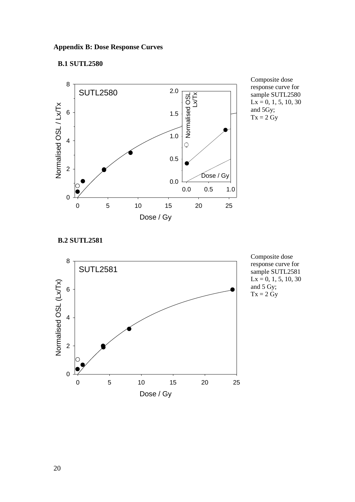#### <span id="page-23-0"></span>**Appendix B: Dose Response Curves**

## <span id="page-23-1"></span>**B.1 SUTL2580**



Composite dose response curve for sample SUTL2580  $Lx = 0, 1, 5, 10, 30$ and 5Gy;  $Tx = 2 Gy$ 

### <span id="page-23-2"></span>**B.2 SUTL2581**



Composite dose response curve for sample SUTL2581  $Lx = 0, 1, 5, 10, 30$ and 5 Gy;  $Tx = 2 Gy$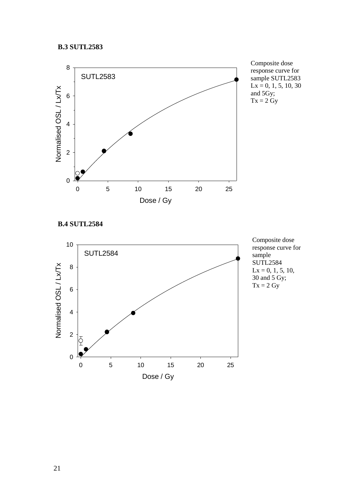#### <span id="page-24-0"></span>**B.3 SUTL2583**



Composite dose response curve for sample SUTL2583  $Lx = 0, 1, 5, 10, 30$ and  $5Gy$ ;  $Tx = 2 Gy$ 

<span id="page-24-1"></span>**B.4 SUTL2584**

<span id="page-24-2"></span>

Composite dose response curve for sample SUTL2584  $Lx = 0, 1, 5, 10,$ 30 and 5 Gy;  $Tx = 2 Gy$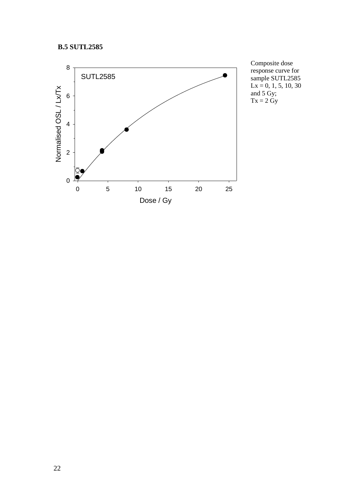## **B.5 SUTL2585**



Composite dose response curve for sample SUTL2585  $Lx = 0, 1, 5, 10, 30$ and 5 Gy;  $Tx = 2 Gy$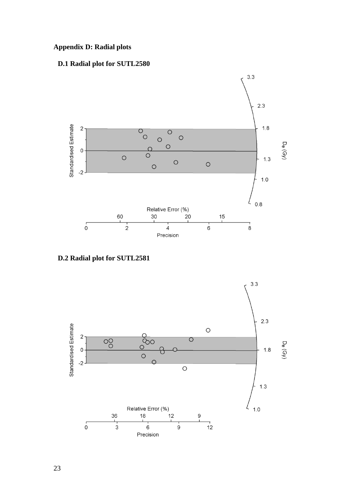## <span id="page-26-0"></span>**Appendix D: Radial plots**

## <span id="page-26-1"></span>**D.1 Radial plot for SUTL2580**



<span id="page-26-2"></span>**D.2 Radial plot for SUTL2581**

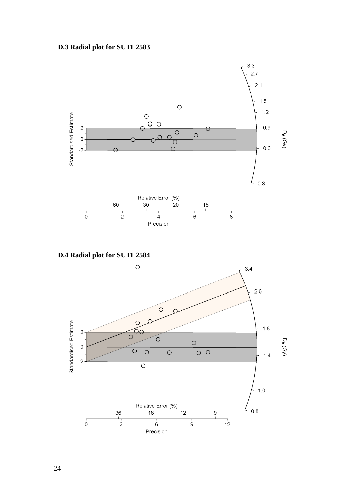## <span id="page-27-0"></span>**D.3 Radial plot for SUTL2583**



<span id="page-27-1"></span>**D.4 Radial plot for SUTL2584**